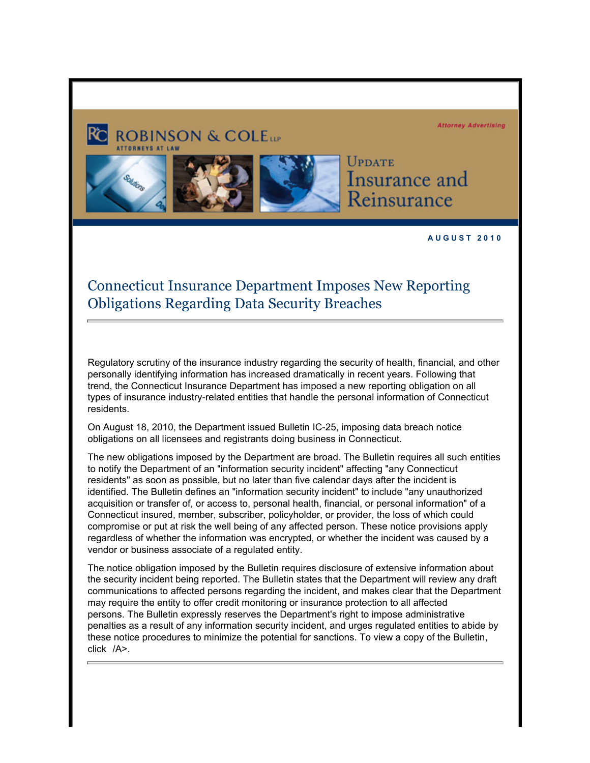## **ROBINSON & COLETT**

**Attorney Advertising** 



**UPDATE** Insurance and Reinsurance

**A U G U S T 2 0 1 0** 

## Connecticut Insurance Department Imposes New Reporting Obligations Regarding Data Security Breaches

Regulatory scrutiny of the insurance industry regarding the security of health, financial, and other personally identifying information has increased dramatically in recent years. Following that trend, the Connecticut Insurance Department has imposed a new reporting obligation on all types of insurance industry-related entities that handle the personal information of Connecticut residents.

On August 18, 2010, the Department issued Bulletin IC-25, imposing data breach notice obligations on all licensees and registrants doing business in Connecticut.

The new obligations imposed by the Department are broad. The Bulletin requires all such entities to notify the Department of an "information security incident" affecting "any Connecticut residents" as soon as possible, but no later than five calendar days after the incident is identified. The Bulletin defines an "information security incident" to include "any unauthorized acquisition or transfer of, or access to, personal health, financial, or personal information" of a Connecticut insured, member, subscriber, policyholder, or provider, the loss of which could compromise or put at risk the well being of any affected person. These notice provisions apply regardless of whether the information was encrypted, or whether the incident was caused by a vendor or business associate of a regulated entity.

The notice obligation imposed by the Bulletin requires disclosure of extensive information about the security incident being reported. The Bulletin states that the Department will review any draft communications to affected persons regarding the incident, and makes clear that the Department may require the entity to offer credit monitoring or insurance protection to all affected persons. The Bulletin expressly reserves the Department's right to impose administrative penalties as a result of any information security incident, and urges regulated entities to abide by these notice procedures to minimize the potential for sanctions. To view a copy of the Bulletin, click /A>.